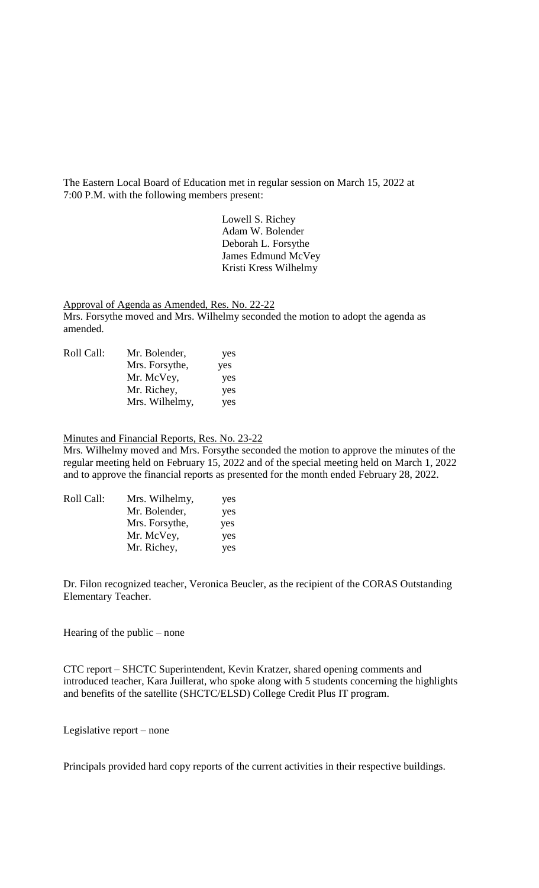The Eastern Local Board of Education met in regular session on March 15, 2022 at 7:00 P.M. with the following members present:

> Lowell S. Richey Adam W. Bolender Deborah L. Forsythe James Edmund McVey Kristi Kress Wilhelmy

Approval of Agenda as Amended, Res. No. 22-22 Mrs. Forsythe moved and Mrs. Wilhelmy seconded the motion to adopt the agenda as amended.

| Roll Call: | Mr. Bolender,  | yes |
|------------|----------------|-----|
|            | Mrs. Forsythe, | yes |
|            | Mr. McVey,     | yes |
|            | Mr. Richey,    | yes |
|            | Mrs. Wilhelmy, | yes |

## Minutes and Financial Reports, Res. No. 23-22

Mrs. Wilhelmy moved and Mrs. Forsythe seconded the motion to approve the minutes of the regular meeting held on February 15, 2022 and of the special meeting held on March 1, 2022 and to approve the financial reports as presented for the month ended February 28, 2022.

| Roll Call: | Mrs. Wilhelmy, | yes |
|------------|----------------|-----|
|            | Mr. Bolender,  | yes |
|            | Mrs. Forsythe, | yes |
|            | Mr. McVey,     | yes |
|            | Mr. Richey,    | yes |
|            |                |     |

Dr. Filon recognized teacher, Veronica Beucler, as the recipient of the CORAS Outstanding Elementary Teacher.

Hearing of the public – none

CTC report – SHCTC Superintendent, Kevin Kratzer, shared opening comments and introduced teacher, Kara Juillerat, who spoke along with 5 students concerning the highlights and benefits of the satellite (SHCTC/ELSD) College Credit Plus IT program.

Legislative report – none

Principals provided hard copy reports of the current activities in their respective buildings.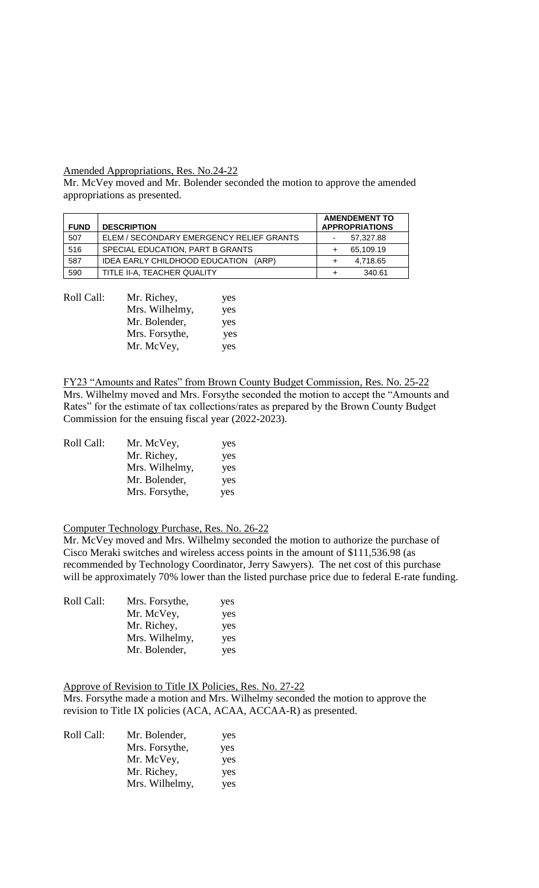## Amended Appropriations, Res. No.24-22

Mr. McVey moved and Mr. Bolender seconded the motion to approve the amended appropriations as presented.

| <b>FUND</b> | <b>DESCRIPTION</b>                       | <b>AMENDEMENT TO</b><br><b>APPROPRIATIONS</b> |           |
|-------------|------------------------------------------|-----------------------------------------------|-----------|
| 507         | ELEM / SECONDARY EMERGENCY RELIEF GRANTS | ۰                                             | 57,327.88 |
| 516         | SPECIAL EDUCATION. PART B GRANTS         |                                               | 65.109.19 |
| 587         | IDEA EARLY CHILDHOOD EDUCATION<br>(ARP)  | ٠                                             | 4,718.65  |
| 590         | TITLE II-A. TEACHER QUALITY              |                                               | 340.61    |

| Mr. Richey,    | yes |
|----------------|-----|
| Mrs. Wilhelmy, | yes |
| Mr. Bolender,  | yes |
| Mrs. Forsythe, | yes |
| Mr. McVey,     | yes |
|                |     |

FY23 "Amounts and Rates" from Brown County Budget Commission, Res. No. 25-22 Mrs. Wilhelmy moved and Mrs. Forsythe seconded the motion to accept the "Amounts and Rates" for the estimate of tax collections/rates as prepared by the Brown County Budget Commission for the ensuing fiscal year (2022-2023).

| Roll Call: | Mr. McVey,     | yes |
|------------|----------------|-----|
|            | Mr. Richey,    | yes |
|            | Mrs. Wilhelmy, | yes |
|            | Mr. Bolender,  | yes |
|            | Mrs. Forsythe, | yes |

## Computer Technology Purchase, Res. No. 26-22

Mr. McVey moved and Mrs. Wilhelmy seconded the motion to authorize the purchase of Cisco Meraki switches and wireless access points in the amount of \$111,536.98 (as recommended by Technology Coordinator, Jerry Sawyers). The net cost of this purchase will be approximately 70% lower than the listed purchase price due to federal E-rate funding.

| Roll Call: | Mrs. Forsythe, | yes |
|------------|----------------|-----|
|            | Mr. McVey,     | yes |
|            | Mr. Richey,    | yes |
|            | Mrs. Wilhelmy, | yes |
|            | Mr. Bolender,  | yes |

Approve of Revision to Title IX Policies, Res. No. 27-22 Mrs. Forsythe made a motion and Mrs. Wilhelmy seconded the motion to approve the revision to Title IX policies (ACA, ACAA, ACCAA-R) as presented.

| Roll Call: | Mr. Bolender,  | yes |
|------------|----------------|-----|
|            | Mrs. Forsythe, | yes |
|            | Mr. McVey,     | yes |
|            | Mr. Richey,    | yes |
|            | Mrs. Wilhelmy, | yes |